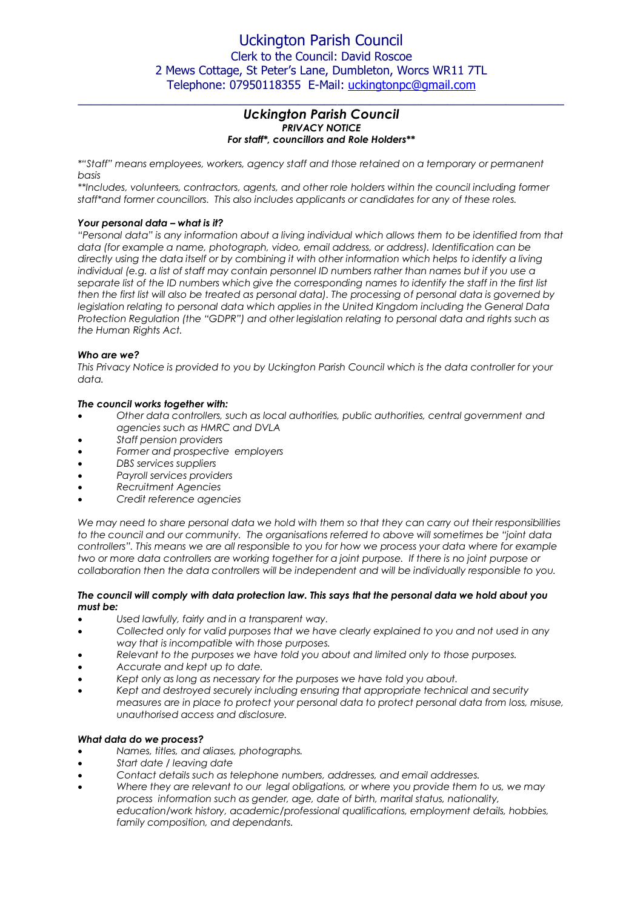## Uckington Parish Council Clerk to the Council: David Roscoe 2 Mews Cottage, St Peter's Lane, Dumbleton, Worcs WR11 7TL Telephone: 07950118355 E-Mail: [uckingtonpc@gmail.com](mailto:uckingtonpc@gmail.com)

## *Uckington Parish Council PRIVACY NOTICE For staff\*, councillors and Role Holders\*\**

 $\_$  , and the set of the set of the set of the set of the set of the set of the set of the set of the set of the set of the set of the set of the set of the set of the set of the set of the set of the set of the set of th

*\*"Staff" means employees, workers, agency staff and those retained on a temporary or permanent basis*

*\*\*Includes, volunteers, contractors, agents, and other role holders within the council including former staff\*and former councillors. This also includes applicants or candidates for any of these roles.* 

## *Your personal data – what is it?*

*"Personal data" is any information about a living individual which allows them to be identified from that data (for example a name, photograph, video, email address, or address). Identification can be directly using the data itself or by combining it with other information which helps to identify a living individual (e.g. a list of staff may contain personnel ID numbers rather than names but if you use a*  separate list of the ID numbers which give the corresponding names to identify the staff in the first list *then the first list will also be treated as personal data). The processing of personal data is governed by legislation relating to personal data which applies in the United Kingdom including the General Data Protection Regulation (the "GDPR") and other legislation relating to personal data and rights such as the Human Rights Act.*

## *Who are we?*

*This Privacy Notice is provided to you by Uckington Parish Council which is the data controller for your data.* 

## *The council works together with:*

- *Other data controllers, such as local authorities, public authorities, central government and agencies such as HMRC and DVLA*
- *Staff pension providers*
- *Former and prospective employers*
- *DBS services suppliers*
- *Payroll services providers*
- *Recruitment Agencies*
- *Credit reference agencies*

*We may need to share personal data we hold with them so that they can carry out their responsibilities to the council and our community. The organisations referred to above will sometimes be "joint data controllers". This means we are all responsible to you for how we process your data where for example two or more data controllers are working together for a joint purpose. If there is no joint purpose or collaboration then the data controllers will be independent and will be individually responsible to you.*

## *The council will comply with data protection law. This says that the personal data we hold about you must be:*

- *Used lawfully, fairly and in a transparent way.*
- *Collected only for valid purposes that we have clearly explained to you and not used in any way that is incompatible with those purposes.*
- *Relevant to the purposes we have told you about and limited only to those purposes.*
- *Accurate and kept up to date.*
- *Kept only as long as necessary for the purposes we have told you about.*
- *Kept and destroyed securely including ensuring that appropriate technical and security measures are in place to protect your personal data to protect personal data from loss, misuse, unauthorised access and disclosure.*

#### *What data do we process?*

- *Names, titles, and aliases, photographs.*
- *Start date / leaving date*
- *Contact details such as telephone numbers, addresses, and email addresses.*
- *Where they are relevant to our legal obligations, or where you provide them to us, we may process information such as gender, age, date of birth, marital status, nationality, education/work history, academic/professional qualifications, employment details, hobbies, family composition, and dependants.*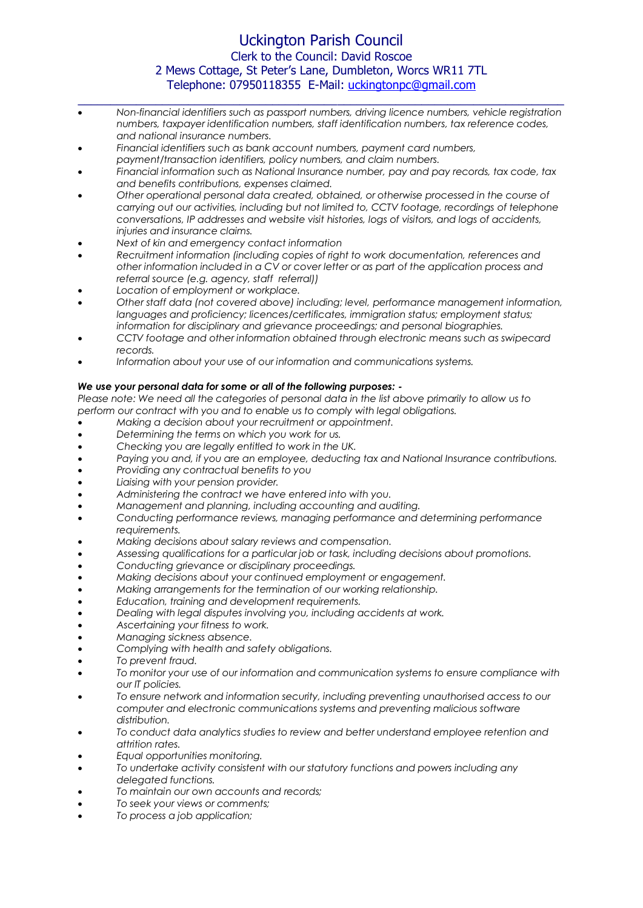# Uckington Parish Council Clerk to the Council: David Roscoe 2 Mews Cottage, St Peter's Lane, Dumbleton, Worcs WR11 7TL Telephone: 07950118355 E-Mail: [uckingtonpc@gmail.com](mailto:uckingtonpc@gmail.com)

 *Non-financial identifiers such as passport numbers, driving licence numbers, vehicle registration numbers, taxpayer identification numbers, staff identification numbers, tax reference codes, and national insurance numbers.* 

 $\_$  , and the set of the set of the set of the set of the set of the set of the set of the set of the set of the set of the set of the set of the set of the set of the set of the set of the set of the set of the set of th

- *Financial identifiers such as bank account numbers, payment card numbers,*
- *payment/transaction identifiers, policy numbers, and claim numbers.*
- *Financial information such as National Insurance number, pay and pay records, tax code, tax and benefits contributions, expenses claimed.*
- *Other operational personal data created, obtained, or otherwise processed in the course of carrying out our activities, including but not limited to, CCTV footage, recordings of telephone conversations, IP addresses and website visit histories, logs of visitors, and logs of accidents, injuries and insurance claims.*
- *Next of kin and emergency contact information*
- *Recruitment information (including copies of right to work documentation, references and other information included in a CV or cover letter or as part of the application process and referral source (e.g. agency, staff referral))*
- *Location of employment or workplace.*
- *Other staff data (not covered above) including; level, performance management information, languages and proficiency; licences/certificates, immigration status; employment status; information for disciplinary and grievance proceedings; and personal biographies.*
- *CCTV footage and other information obtained through electronic means such as swipecard records.*
- *Information about your use of our information and communications systems.*

## *We use your personal data for some or all of the following purposes: -*

*Please note: We need all the categories of personal data in the list above primarily to allow us to perform our contract with you and to enable us to comply with legal obligations.* 

- *Making a decision about your recruitment or appointment.*
- *Determining the terms on which you work for us.*
- *Checking you are legally entitled to work in the UK.*
- *Paying you and, if you are an employee, deducting tax and National Insurance contributions.*
- *Providing any contractual benefits to you*
- *Liaising with your pension provider.*
- *Administering the contract we have entered into with you.*
- *Management and planning, including accounting and auditing.*
- *Conducting performance reviews, managing performance and determining performance requirements.*
- *Making decisions about salary reviews and compensation.*
- *Assessing qualifications for a particular job or task, including decisions about promotions.*
- *Conducting grievance or disciplinary proceedings.*
- *Making decisions about your continued employment or engagement.*
- *Making arrangements for the termination of our working relationship.*
- *Education, training and development requirements.*
- *Dealing with legal disputes involving you, including accidents at work.*
- *Ascertaining your fitness to work.*
- *Managing sickness absence.*
- *Complying with health and safety obligations.*
- *To prevent fraud.*
- *To monitor your use of our information and communication systems to ensure compliance with our IT policies.*
- *To ensure network and information security, including preventing unauthorised access to our computer and electronic communications systems and preventing malicious software distribution.*
- *To conduct data analytics studies to review and better understand employee retention and attrition rates.*
- *Equal opportunities monitoring.*
- *To undertake activity consistent with our statutory functions and powers including any delegated functions.*
- *To maintain our own accounts and records;*
- *To seek your views or comments;*
- *To process a job application;*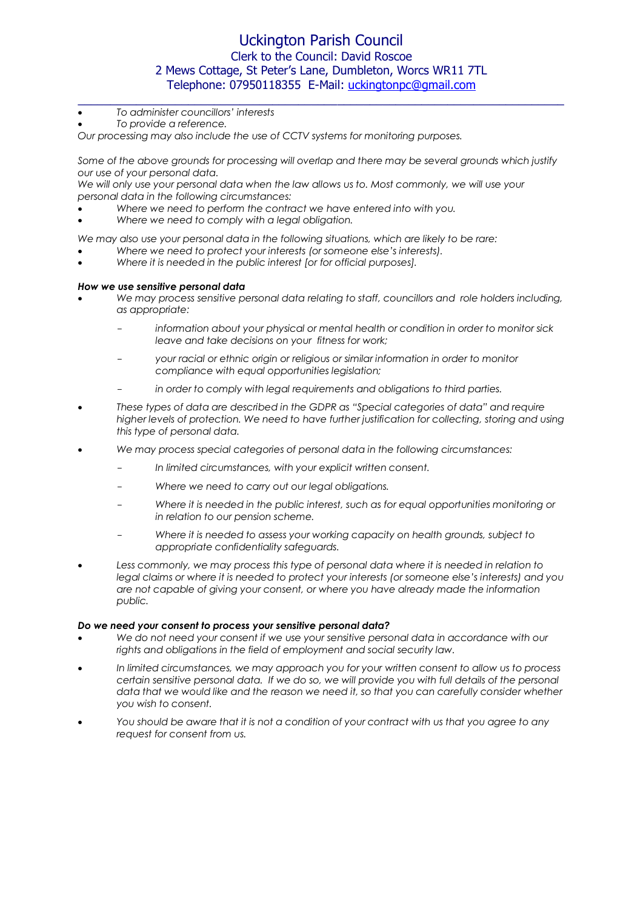# Uckington Parish Council Clerk to the Council: David Roscoe 2 Mews Cottage, St Peter's Lane, Dumbleton, Worcs WR11 7TL Telephone: 07950118355 E-Mail: [uckingtonpc@gmail.com](mailto:uckingtonpc@gmail.com)

 $\_$  , and the set of the set of the set of the set of the set of the set of the set of the set of the set of the set of the set of the set of the set of the set of the set of the set of the set of the set of the set of th

- *To administer councillors' interests*
- *To provide a reference.*

*Our processing may also include the use of CCTV systems for monitoring purposes.* 

Some of the above grounds for processing will overlap and there may be several grounds which justify *our use of your personal data.*

We will only use your personal data when the law allows us to. Most commonly, we will use your *personal data in the following circumstances:*

*Where we need to perform the contract we have entered into with you.*

*Where we need to comply with a legal obligation.*

*We may also use your personal data in the following situations, which are likely to be rare:*

- *Where we need to protect your interests (or someone else's interests).*
- *Where it is needed in the public interest [or for official purposes].*

#### *How we use sensitive personal data*

- *We may process sensitive personal data relating to staff, councillors and role holders including, as appropriate:*
	- *information about your physical or mental health or condition in order to monitor sick leave and take decisions on your fitness for work;*
	- *your racial or ethnic origin or religious or similar information in order to monitor compliance with equal opportunities legislation;*
	- in order to comply with legal requirements and obligations to third parties.
- *These types of data are described in the GDPR as "Special categories of data" and require higher levels of protection. We need to have further justification for collecting, storing and using this type of personal data.*
- *We may process special categories of personal data in the following circumstances:*
	- *In limited circumstances, with your explicit written consent.*
	- *Where we need to carry out our legal obligations.*
	- *Where it is needed in the public interest, such as for equal opportunities monitoring or in relation to our pension scheme.*
	- *Where it is needed to assess your working capacity on health grounds, subject to appropriate confidentiality safeguards.*
- Less commonly, we may process this type of personal data where it is needed in relation to *legal claims or where it is needed to protect your interests (or someone else's interests) and you are not capable of giving your consent, or where you have already made the information public.*

#### *Do we need your consent to process your sensitive personal data?*

- We do not need your consent if we use your sensitive personal data in accordance with our *rights and obligations in the field of employment and social security law.*
- *In limited circumstances, we may approach you for your written consent to allow us to process certain sensitive personal data. If we do so, we will provide you with full details of the personal data that we would like and the reason we need it, so that you can carefully consider whether you wish to consent.*
- *You should be aware that it is not a condition of your contract with us that you agree to any request for consent from us.*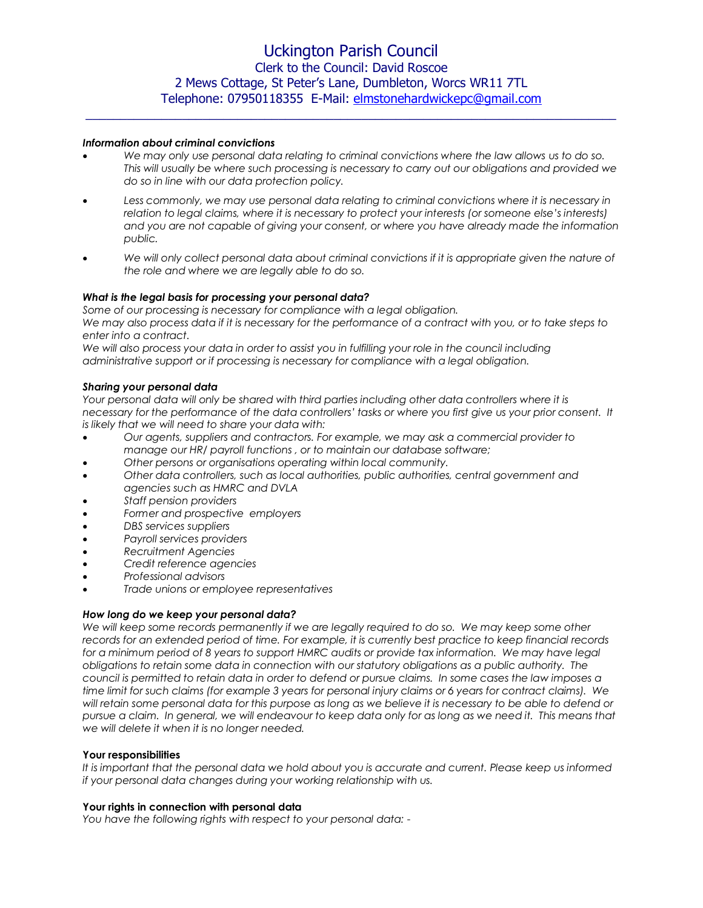$\_$  , and the set of the set of the set of the set of the set of the set of the set of the set of the set of the set of the set of the set of the set of the set of the set of the set of the set of the set of the set of th

#### *Information about criminal convictions*

- We may only use personal data relating to criminal convictions where the law allows us to do so. *This will usually be where such processing is necessary to carry out our obligations and provided we do so in line with our data protection policy.*
- Less commonly, we may use personal data relating to criminal convictions where it is necessary in *relation to legal claims, where it is necessary to protect your interests (or someone else's interests) and you are not capable of giving your consent, or where you have already made the information public.*
- We will only collect personal data about criminal convictions if it is appropriate given the nature of *the role and where we are legally able to do so.*

### *What is the legal basis for processing your personal data?*

*Some of our processing is necessary for compliance with a legal obligation.* 

*We may also process data if it is necessary for the performance of a contract with you, or to take steps to enter into a contract.* 

*We will also process your data in order to assist you in fulfilling your role in the council including administrative support or if processing is necessary for compliance with a legal obligation.*

### *Sharing your personal data*

*Your personal data will only be shared with third parties including other data controllers where it is necessary for the performance of the data controllers' tasks or where you first give us your prior consent. It is likely that we will need to share your data with:*

- *Our agents, suppliers and contractors. For example, we may ask a commercial provider to manage our HR/ payroll functions , or to maintain our database software;*
- *Other persons or organisations operating within local community.*
- *Other data controllers, such as local authorities, public authorities, central government and agencies such as HMRC and DVLA*
- *Staff pension providers*
- *Former and prospective employers*
- *DBS services suppliers*
- *Payroll services providers*
- *Recruitment Agencies*
- *Credit reference agencies*
- *Professional advisors*
- *Trade unions or employee representatives*

## *How long do we keep your personal data?*

We will keep some records permanently if we are legally required to do so. We may keep some other *records for an extended period of time. For example, it is currently best practice to keep financial records for a minimum period of 8 years to support HMRC audits or provide tax information. We may have legal obligations to retain some data in connection with our statutory obligations as a public authority. The council is permitted to retain data in order to defend or pursue claims. In some cases the law imposes a time limit for such claims (for example 3 years for personal injury claims or 6 years for contract claims). We will retain some personal data for this purpose as long as we believe it is necessary to be able to defend or pursue a claim. In general, we will endeavour to keep data only for as long as we need it. This means that we will delete it when it is no longer needed.*

#### **Your responsibilities**

*It is important that the personal data we hold about you is accurate and current. Please keep us informed if your personal data changes during your working relationship with us.*

#### **Your rights in connection with personal data**

*You have the following rights with respect to your personal data: -*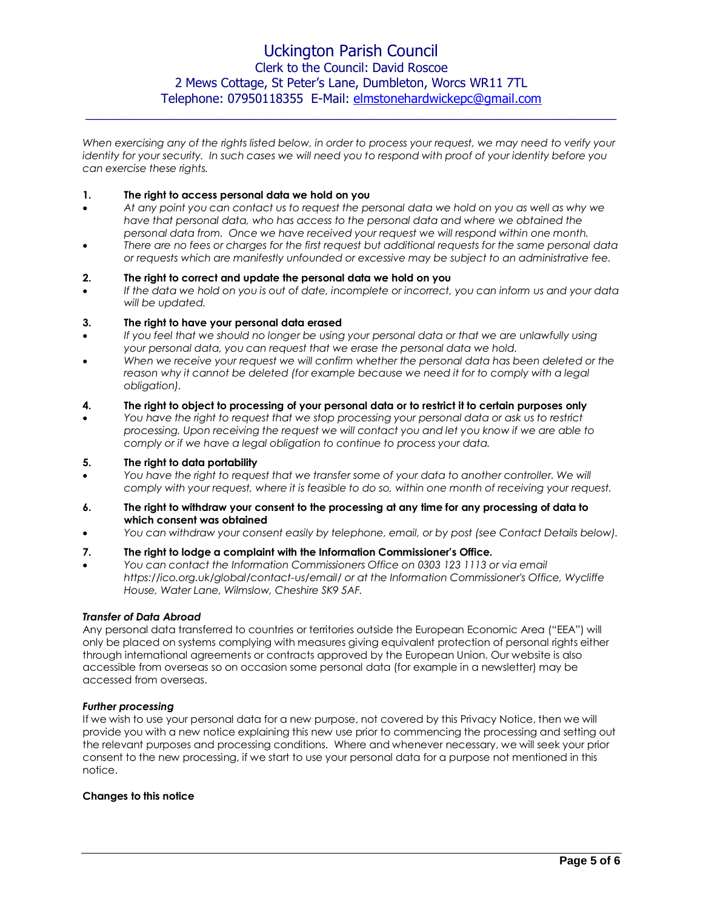*When exercising any of the rights listed below, in order to process your request, we may need to verify your identity for your security. In such cases we will need you to respond with proof of your identity before you can exercise these rights.*

 $\_$  ,  $\_$  ,  $\_$  ,  $\_$  ,  $\_$  ,  $\_$  ,  $\_$  ,  $\_$  ,  $\_$  ,  $\_$  ,  $\_$  ,  $\_$  ,  $\_$  ,  $\_$  ,  $\_$  ,  $\_$  ,  $\_$  ,  $\_$  ,  $\_$  ,  $\_$  ,  $\_$  ,  $\_$  ,  $\_$  ,  $\_$  ,  $\_$  ,  $\_$  ,  $\_$  ,  $\_$  ,  $\_$  ,  $\_$  ,  $\_$  ,  $\_$  ,  $\_$  ,  $\_$  ,  $\_$  ,  $\_$  ,  $\_$  ,

### **1. The right to access personal data we hold on you**

- *At any point you can contact us to request the personal data we hold on you as well as why we have that personal data, who has access to the personal data and where we obtained the personal data from. Once we have received your request we will respond within one month.*
- *There are no fees or charges for the first request but additional requests for the same personal data or requests which are manifestly unfounded or excessive may be subject to an administrative fee.*

### **2. The right to correct and update the personal data we hold on you**

 *If the data we hold on you is out of date, incomplete or incorrect, you can inform us and your data will be updated.* 

### **3. The right to have your personal data erased**

- If you feel that we should no longer be using your personal data or that we are unlawfully using *your personal data, you can request that we erase the personal data we hold.*
- When we receive your request we will confirm whether the personal data has been deleted or the reason why it cannot be deleted (for example because we need it for to comply with a legal *obligation).*

### **4. The right to object to processing of your personal data or to restrict it to certain purposes only**

 *You have the right to request that we stop processing your personal data or ask us to restrict processing. Upon receiving the request we will contact you and let you know if we are able to comply or if we have a legal obligation to continue to process your data.* 

## **5. The right to data portability**

- *You have the right to request that we transfer some of your data to another controller. We will comply with your request, where it is feasible to do so, within one month of receiving your request.*
- **6. The right to withdraw your consent to the processing at any time for any processing of data to which consent was obtained**
- *You can withdraw your consent easily by telephone, email, or by post (see Contact Details below).*

## **7. The right to lodge a complaint with the Information Commissioner's Office.**

 *You can contact the Information Commissioners Office on 0303 123 1113 or via email https://ico.org.uk/global/contact-us/email/ or at the Information Commissioner's Office, Wycliffe House, Water Lane, Wilmslow, Cheshire SK9 5AF.*

### *Transfer of Data Abroad*

Any personal data transferred to countries or territories outside the European Economic Area ("EEA") will only be placed on systems complying with measures giving equivalent protection of personal rights either through international agreements or contracts approved by the European Union. Our website is also accessible from overseas so on occasion some personal data (for example in a newsletter) may be accessed from overseas.

#### *Further processing*

If we wish to use your personal data for a new purpose, not covered by this Privacy Notice, then we will provide you with a new notice explaining this new use prior to commencing the processing and setting out the relevant purposes and processing conditions. Where and whenever necessary, we will seek your prior consent to the new processing, if we start to use your personal data for a purpose not mentioned in this notice.

#### **Changes to this notice**